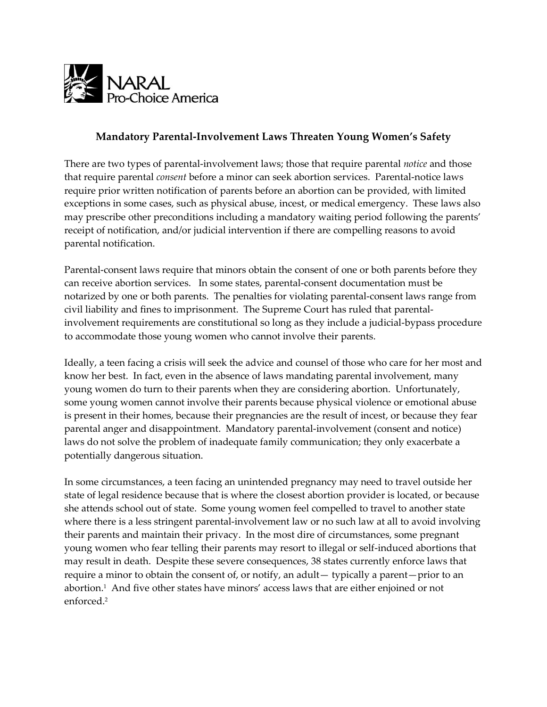

# **Mandatory Parental-Involvement Laws Threaten Young Women's Safety**

There are two types of parental-involvement laws; those that require parental *notice* and those that require parental *consent* before a minor can seek abortion services. Parental-notice laws require prior written notification of parents before an abortion can be provided, with limited exceptions in some cases, such as physical abuse, incest, or medical emergency. These laws also may prescribe other preconditions including a mandatory waiting period following the parents' receipt of notification, and/or judicial intervention if there are compelling reasons to avoid parental notification.

Parental-consent laws require that minors obtain the consent of one or both parents before they can receive abortion services. In some states, parental-consent documentation must be notarized by one or both parents. The penalties for violating parental-consent laws range from civil liability and fines to imprisonment. The Supreme Court has ruled that parentalinvolvement requirements are constitutional so long as they include a judicial-bypass procedure to accommodate those young women who cannot involve their parents.

Ideally, a teen facing a crisis will seek the advice and counsel of those who care for her most and know her best. In fact, even in the absence of laws mandating parental involvement, many young women do turn to their parents when they are considering abortion. Unfortunately, some young women cannot involve their parents because physical violence or emotional abuse is present in their homes, because their pregnancies are the result of incest, or because they fear parental anger and disappointment. Mandatory parental-involvement (consent and notice) laws do not solve the problem of inadequate family communication; they only exacerbate a potentially dangerous situation.

In some circumstances, a teen facing an unintended pregnancy may need to travel outside her state of legal residence because that is where the closest abortion provider is located, or because she attends school out of state. Some young women feel compelled to travel to another state where there is a less stringent parental-involvement law or no such law at all to avoid involving their parents and maintain their privacy. In the most dire of circumstances, some pregnant young women who fear telling their parents may resort to illegal or self-induced abortions that may result in death. Despite these severe consequences, 38 states currently enforce laws that require a minor to obtain the consent of, or notify, an adult— typically a parent—prior to an abortion.<sup>1</sup> And five other states have minors' access laws that are either enjoined or not enforced.<sup>2</sup>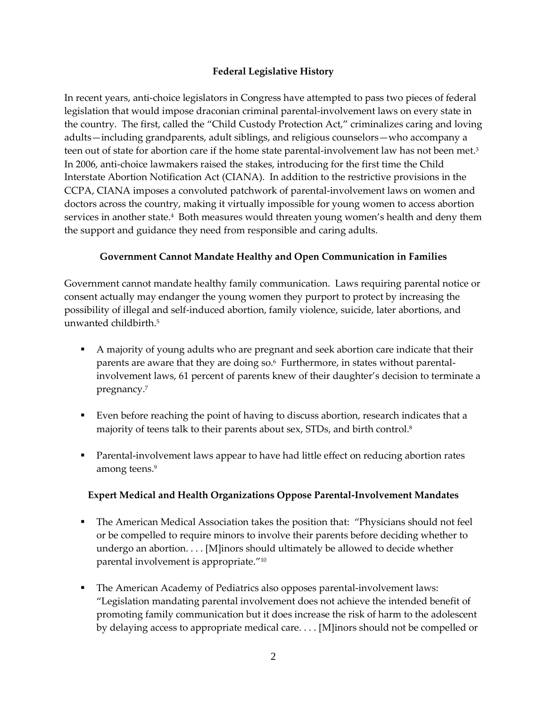## **Federal Legislative History**

In recent years, anti-choice legislators in Congress have attempted to pass two pieces of federal legislation that would impose draconian criminal parental-involvement laws on every state in the country. The first, called the "Child Custody Protection Act," criminalizes caring and loving adults—including grandparents, adult siblings, and religious counselors—who accompany a teen out of state for abortion care if the home state parental-involvement law has not been met. $^3$ In 2006, anti-choice lawmakers raised the stakes, introducing for the first time the Child Interstate Abortion Notification Act (CIANA). In addition to the restrictive provisions in the CCPA, CIANA imposes a convoluted patchwork of parental-involvement laws on women and doctors across the country, making it virtually impossible for young women to access abortion services in another state.<sup>4</sup> Both measures would threaten young women's health and deny them the support and guidance they need from responsible and caring adults.

## **Government Cannot Mandate Healthy and Open Communication in Families**

Government cannot mandate healthy family communication. Laws requiring parental notice or consent actually may endanger the young women they purport to protect by increasing the possibility of illegal and self-induced abortion, family violence, suicide, later abortions, and unwanted childbirth.<sup>5</sup>

- A majority of young adults who are pregnant and seek abortion care indicate that their parents are aware that they are doing so.<sup>6</sup> Furthermore, in states without parentalinvolvement laws, 61 percent of parents knew of their daughter's decision to terminate a pregnancy.<sup>7</sup>
- Even before reaching the point of having to discuss abortion, research indicates that a majority of teens talk to their parents about sex, STDs, and birth control.<sup>8</sup>
- Parental-involvement laws appear to have had little effect on reducing abortion rates among teens.<sup>9</sup>

## **Expert Medical and Health Organizations Oppose Parental-Involvement Mandates**

- The American Medical Association takes the position that: "Physicians should not feel or be compelled to require minors to involve their parents before deciding whether to undergo an abortion. . . . [M]inors should ultimately be allowed to decide whether parental involvement is appropriate."<sup>10</sup>
- The American Academy of Pediatrics also opposes parental-involvement laws: "Legislation mandating parental involvement does not achieve the intended benefit of promoting family communication but it does increase the risk of harm to the adolescent by delaying access to appropriate medical care. . . . [M]inors should not be compelled or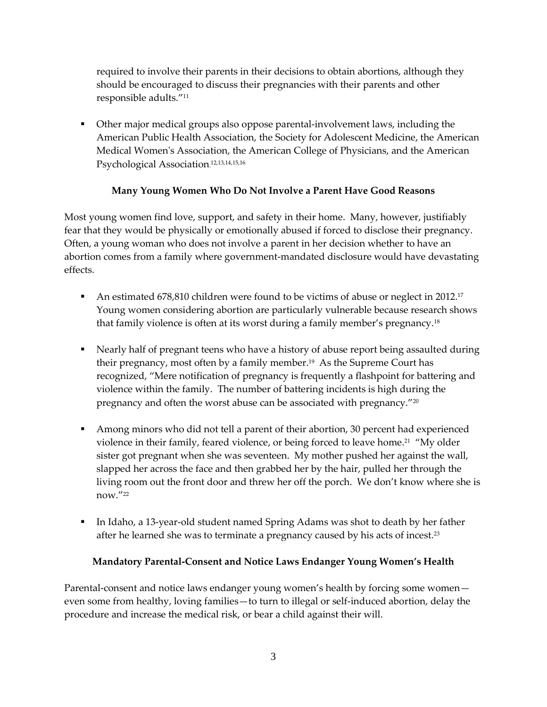required to involve their parents in their decisions to obtain abortions, although they should be encouraged to discuss their pregnancies with their parents and other responsible adults."<sup>11</sup>

 Other major medical groups also oppose parental-involvement laws, including the American Public Health Association, the Society for Adolescent Medicine, the American Medical Women's Association, the American College of Physicians, and the American Psychological Association. 12,13,14,15,16

## **Many Young Women Who Do Not Involve a Parent Have Good Reasons**

Most young women find love, support, and safety in their home. Many, however, justifiably fear that they would be physically or emotionally abused if forced to disclose their pregnancy. Often, a young woman who does not involve a parent in her decision whether to have an abortion comes from a family where government-mandated disclosure would have devastating effects.

- An estimated 678,810 children were found to be victims of abuse or neglect in 2012.<sup>17</sup> Young women considering abortion are particularly vulnerable because research shows that family violence is often at its worst during a family member's pregnancy.<sup>18</sup>
- Nearly half of pregnant teens who have a history of abuse report being assaulted during their pregnancy, most often by a family member.<sup>19</sup> As the Supreme Court has recognized, "Mere notification of pregnancy is frequently a flashpoint for battering and violence within the family. The number of battering incidents is high during the pregnancy and often the worst abuse can be associated with pregnancy."<sup>20</sup>
- Among minors who did not tell a parent of their abortion, 30 percent had experienced violence in their family, feared violence, or being forced to leave home.<sup>21</sup> "My older sister got pregnant when she was seventeen. My mother pushed her against the wall, slapped her across the face and then grabbed her by the hair, pulled her through the living room out the front door and threw her off the porch. We don't know where she is now."<sup>22</sup>
- In Idaho, a 13-year-old student named Spring Adams was shot to death by her father after he learned she was to terminate a pregnancy caused by his acts of incest.<sup>23</sup>

## **Mandatory Parental-Consent and Notice Laws Endanger Young Women's Health**

Parental-consent and notice laws endanger young women's health by forcing some women even some from healthy, loving families—to turn to illegal or self-induced abortion, delay the procedure and increase the medical risk, or bear a child against their will.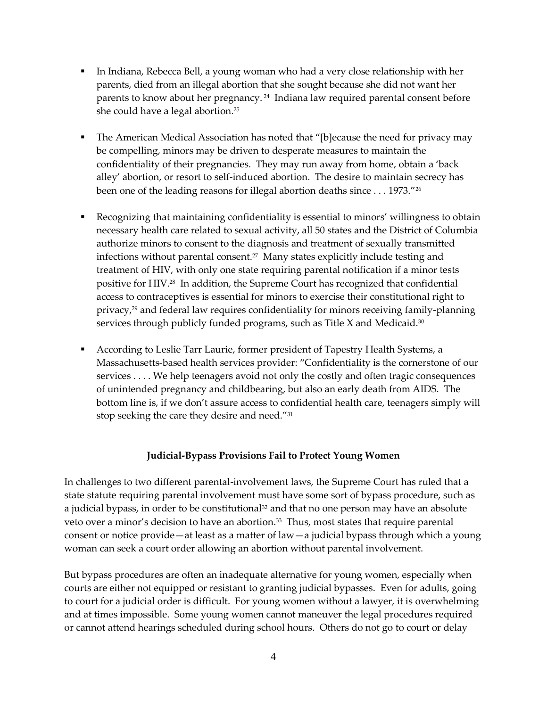- In Indiana, Rebecca Bell, a young woman who had a very close relationship with her parents, died from an illegal abortion that she sought because she did not want her parents to know about her pregnancy. <sup>24</sup> Indiana law required parental consent before she could have a legal abortion.<sup>25</sup>
- The American Medical Association has noted that "[b]ecause the need for privacy may be compelling, minors may be driven to desperate measures to maintain the confidentiality of their pregnancies. They may run away from home, obtain a 'back alley' abortion, or resort to self-induced abortion. The desire to maintain secrecy has been one of the leading reasons for illegal abortion deaths since . . . 1973."<sup>26</sup>
- Recognizing that maintaining confidentiality is essential to minors' willingness to obtain necessary health care related to sexual activity, all 50 states and the District of Columbia authorize minors to consent to the diagnosis and treatment of sexually transmitted infections without parental consent.<sup>27</sup> Many states explicitly include testing and treatment of HIV, with only one state requiring parental notification if a minor tests positive for HIV.<sup>28</sup> In addition, the Supreme Court has recognized that confidential access to contraceptives is essential for minors to exercise their constitutional right to privacy,<sup>29</sup> and federal law requires confidentiality for minors receiving family-planning services through publicly funded programs, such as Title X and Medicaid.<sup>30</sup>
- According to Leslie Tarr Laurie, former president of Tapestry Health Systems, a Massachusetts-based health services provider: "Confidentiality is the cornerstone of our services . . . . We help teenagers avoid not only the costly and often tragic consequences of unintended pregnancy and childbearing, but also an early death from AIDS. The bottom line is, if we don't assure access to confidential health care, teenagers simply will stop seeking the care they desire and need."<sup>31</sup>

#### **Judicial-Bypass Provisions Fail to Protect Young Women**

In challenges to two different parental-involvement laws, the Supreme Court has ruled that a state statute requiring parental involvement must have some sort of bypass procedure, such as a judicial bypass, in order to be constitutional<sup>32</sup> and that no one person may have an absolute veto over a minor's decision to have an abortion.<sup>33</sup> Thus, most states that require parental consent or notice provide—at least as a matter of law—a judicial bypass through which a young woman can seek a court order allowing an abortion without parental involvement.

But bypass procedures are often an inadequate alternative for young women, especially when courts are either not equipped or resistant to granting judicial bypasses. Even for adults, going to court for a judicial order is difficult. For young women without a lawyer, it is overwhelming and at times impossible. Some young women cannot maneuver the legal procedures required or cannot attend hearings scheduled during school hours. Others do not go to court or delay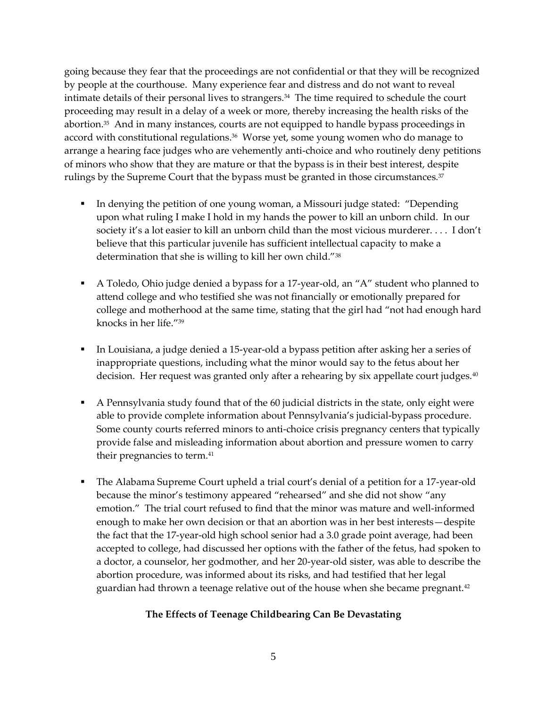going because they fear that the proceedings are not confidential or that they will be recognized by people at the courthouse. Many experience fear and distress and do not want to reveal intimate details of their personal lives to strangers.<sup>34</sup> The time required to schedule the court proceeding may result in a delay of a week or more, thereby increasing the health risks of the abortion.<sup>35</sup> And in many instances, courts are not equipped to handle bypass proceedings in accord with constitutional regulations.<sup>36</sup> Worse yet, some young women who do manage to arrange a hearing face judges who are vehemently anti-choice and who routinely deny petitions of minors who show that they are mature or that the bypass is in their best interest, despite rulings by the Supreme Court that the bypass must be granted in those circumstances. $^{\scriptscriptstyle 37}$ 

- In denying the petition of one young woman, a Missouri judge stated: "Depending" upon what ruling I make I hold in my hands the power to kill an unborn child. In our society it's a lot easier to kill an unborn child than the most vicious murderer. . . . I don't believe that this particular juvenile has sufficient intellectual capacity to make a determination that she is willing to kill her own child."<sup>38</sup>
- A Toledo, Ohio judge denied a bypass for a 17-year-old, an "A" student who planned to attend college and who testified she was not financially or emotionally prepared for college and motherhood at the same time, stating that the girl had "not had enough hard knocks in her life<sup>"39</sup>
- In Louisiana, a judge denied a 15-year-old a bypass petition after asking her a series of inappropriate questions, including what the minor would say to the fetus about her decision. Her request was granted only after a rehearing by six appellate court judges.<sup>40</sup>
- A Pennsylvania study found that of the 60 judicial districts in the state, only eight were able to provide complete information about Pennsylvania's judicial-bypass procedure. Some county courts referred minors to anti-choice crisis pregnancy centers that typically provide false and misleading information about abortion and pressure women to carry their pregnancies to term.<sup>41</sup>
- The Alabama Supreme Court upheld a trial court's denial of a petition for a 17-year-old because the minor's testimony appeared "rehearsed" and she did not show "any emotion." The trial court refused to find that the minor was mature and well-informed enough to make her own decision or that an abortion was in her best interests—despite the fact that the 17-year-old high school senior had a 3.0 grade point average, had been accepted to college, had discussed her options with the father of the fetus, had spoken to a doctor, a counselor, her godmother, and her 20-year-old sister, was able to describe the abortion procedure, was informed about its risks, and had testified that her legal guardian had thrown a teenage relative out of the house when she became pregnant.<sup>42</sup>

## **The Effects of Teenage Childbearing Can Be Devastating**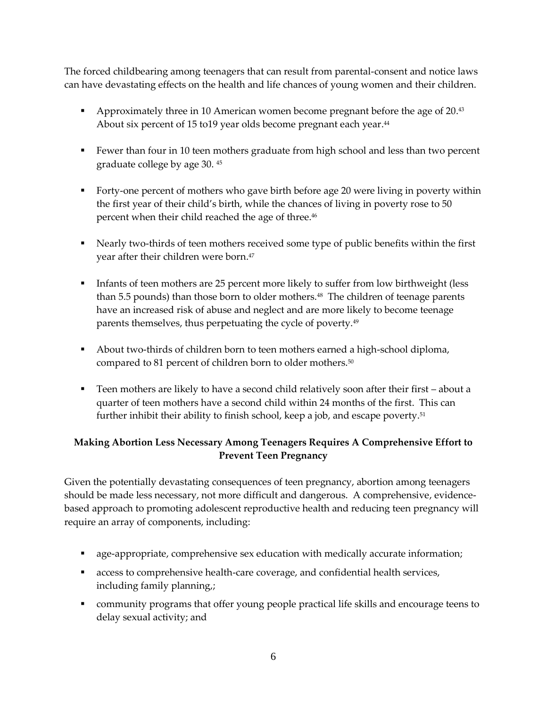The forced childbearing among teenagers that can result from parental-consent and notice laws can have devastating effects on the health and life chances of young women and their children.

- **•** Approximately three in 10 American women become pregnant before the age of 20.<sup>43</sup> About six percent of 15 to19 year olds become pregnant each year. 44
- Fewer than four in 10 teen mothers graduate from high school and less than two percent graduate college by age 30. <sup>45</sup>
- Forty-one percent of mothers who gave birth before age 20 were living in poverty within the first year of their child's birth, while the chances of living in poverty rose to 50 percent when their child reached the age of three. 46
- Nearly two-thirds of teen mothers received some type of public benefits within the first year after their children were born. 47
- Infants of teen mothers are 25 percent more likely to suffer from low birthweight (less than 5.5 pounds) than those born to older mothers.<sup>48</sup> The children of teenage parents have an increased risk of abuse and neglect and are more likely to become teenage parents themselves, thus perpetuating the cycle of poverty.<sup>49</sup>
- About two-thirds of children born to teen mothers earned a high-school diploma, compared to 81 percent of children born to older mothers.<sup>50</sup>
- Teen mothers are likely to have a second child relatively soon after their first about a quarter of teen mothers have a second child within 24 months of the first. This can further inhibit their ability to finish school, keep a job, and escape poverty.<sup>51</sup>

## **Making Abortion Less Necessary Among Teenagers Requires A Comprehensive Effort to Prevent Teen Pregnancy**

Given the potentially devastating consequences of teen pregnancy, abortion among teenagers should be made less necessary, not more difficult and dangerous. A comprehensive, evidencebased approach to promoting adolescent reproductive health and reducing teen pregnancy will require an array of components, including:

- age-appropriate, comprehensive sex education with medically accurate information;
- **EXECO** access to comprehensive health-care coverage, and confidential health services, including family planning,;
- community programs that offer young people practical life skills and encourage teens to delay sexual activity; and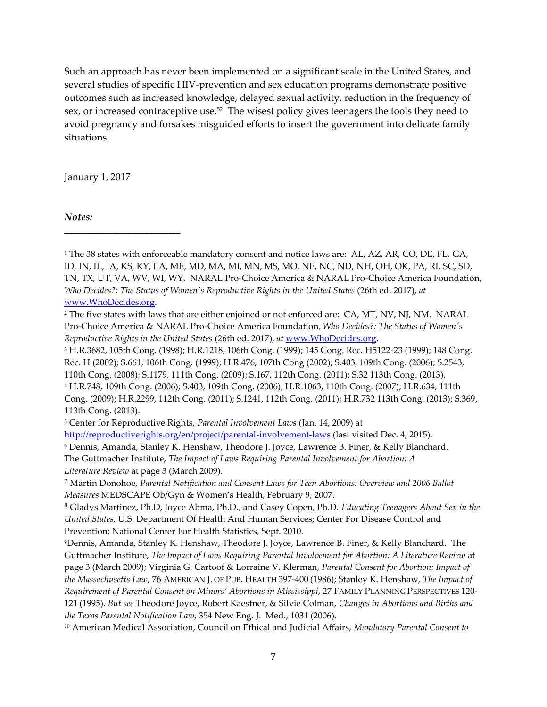Such an approach has never been implemented on a significant scale in the United States, and several studies of specific HIV-prevention and sex education programs demonstrate positive outcomes such as increased knowledge, delayed sexual activity, reduction in the frequency of sex, or increased contraceptive use.<sup>52</sup> The wisest policy gives teenagers the tools they need to avoid pregnancy and forsakes misguided efforts to insert the government into delicate family situations.

January 1, 2017

**\_\_\_\_\_\_\_\_\_\_\_\_\_\_\_\_\_\_\_\_\_\_\_\_\_\_**

*Notes:*

<sup>1</sup> The 38 states with enforceable mandatory consent and notice laws are: AL, AZ, AR, CO, DE, FL, GA, ID, IN, IL, IA, KS, KY, LA, ME, MD, MA, MI, MN, MS, MO, NE, NC, ND, NH, OH, OK, PA, RI, SC, SD, TN, TX, UT, VA, WV, WI, WY. NARAL Pro-Choice America & NARAL Pro-Choice America Foundation, *Who Decides?: The Status of Women's Reproductive Rights in the United States* (26th ed. 2017), *at*  [www.WhoDecides.org.](https://securemail.prochoiceamerica.org/owa/redir.aspx?C=d04ca74bf1c941ae94a9ac8588a272b8&URL=http%3a%2f%2fwww.WhoDecides.org)

<sup>3</sup> H.R.3682, 105th Cong. (1998); H.R.1218, 106th Cong. (1999); 145 Cong. Rec. H5122-23 (1999); 148 Cong. Rec. H (2002); S.661, 106th Cong. (1999); H.R.476, 107th Cong (2002); S.403, 109th Cong. (2006); S.2543, 110th Cong. (2008); S.1179, 111th Cong. (2009); S.167, 112th Cong. (2011); S.32 113th Cong. (2013). <sup>4</sup> H.R.748, 109th Cong. (2006); S.403, 109th Cong. (2006); H.R.1063, 110th Cong. (2007); H.R.634, 111th Cong. (2009); H.R.2299, 112th Cong. (2011); S.1241, 112th Cong. (2011); H.R.732 113th Cong. (2013); S.369, 113th Cong. (2013).

<http://reproductiverights.org/en/project/parental-involvement-laws> (last visited Dec. 4, 2015).

<sup>6</sup> Dennis, Amanda, Stanley K. Henshaw, Theodore J. Joyce, Lawrence B. Finer, & Kelly Blanchard.

<sup>10</sup> American Medical Association, Council on Ethical and Judicial Affairs, *Mandatory Parental Consent to* 

<sup>&</sup>lt;sup>2</sup> The five states with laws that are either enjoined or not enforced are: CA, MT, NV, NJ, NM. NARAL Pro-Choice America & NARAL Pro-Choice America Foundation, *Who Decides?: The Status of Women's Reproductive Rights in the United States* (26th ed. 2017), *at* [www.WhoDecides.org.](https://securemail.prochoiceamerica.org/owa/redir.aspx?C=d04ca74bf1c941ae94a9ac8588a272b8&URL=http%3a%2f%2fwww.WhoDecides.org)

<sup>5</sup> Center for Reproductive Rights, *Parental Involvement Laws* (Jan. 14, 2009) at

The Guttmacher Institute, *The Impact of Laws Requiring Parental Involvement for Abortion: A Literature Review* at page 3 (March 2009).

<sup>7</sup> Martin Donohoe, *Parental Notification and Consent Laws for Teen Abortions: Overview and 2006 Ballot Measures* MEDSCAPE Ob/Gyn & Women's Health, February 9, 2007.

<sup>8</sup> Gladys Martinez, Ph.D, Joyce Abma, Ph.D., and Casey Copen, Ph.D. *Educating Teenagers About Sex in the United States,* U.S. Department Of Health And Human Services; Center For Disease Control and Prevention; National Center For Health Statistics, Sept. 2010.

<sup>9</sup>Dennis, Amanda, Stanley K. Henshaw, Theodore J. Joyce, Lawrence B. Finer, & Kelly Blanchard. The Guttmacher Institute, *The Impact of Laws Requiring Parental Involvement for Abortion: A Literature Review* at page 3 (March 2009); Virginia G. Cartoof & Lorraine V. Klerman, *Parental Consent for Abortion: Impact of the Massachusetts Law*, 76 AMERICAN J. OF PUB. HEALTH 397-400 (1986); Stanley K. Henshaw, *The Impact of Requirement of Parental Consent on Minors' Abortions in Mississippi*, 27 FAMILY PLANNING PERSPECTIVES 120- 121 (1995). *But see* Theodore Joyce, Robert Kaestner, & Silvie Colman, *Changes in Abortions and Births and the Texas Parental Notification Law*, 354 New Eng. J. Med., 1031 (2006).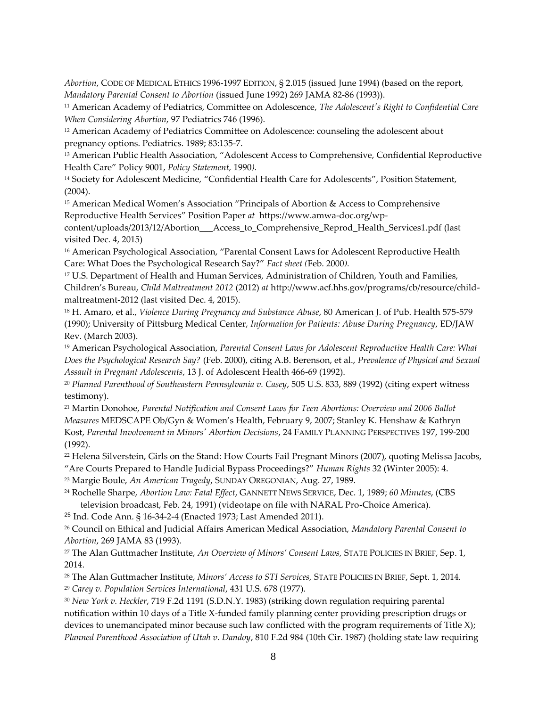*Abortion*, CODE OF MEDICAL ETHICS 1996-1997 EDITION, § 2.015 (issued June 1994) (based on the report, *Mandatory Parental Consent to Abortion* (issued June 1992) 269 JAMA 82-86 (1993)).

<sup>11</sup> American Academy of Pediatrics, Committee on Adolescence, *The Adolescent's Right to Confidential Care When Considering Abortion*, 97 Pediatrics 746 (1996).

<sup>12</sup> American Academy of Pediatrics Committee on Adolescence: counseling the adolescent about pregnancy options. Pediatrics. 1989; 83:135-7.

<sup>13</sup> American Public Health Association, "Adolescent Access to Comprehensive, Confidential Reproductive Health Care" Policy 9001, *Policy Statement,* 1990*).*

<sup>14</sup> Society for Adolescent Medicine, "Confidential Health Care for Adolescents", Position Statement, (2004).

<sup>15</sup> American Medical Women's Association "Principals of Abortion & Access to Comprehensive Reproductive Health Services" Position Paper *at* https://www.amwa-doc.org/wp-

content/uploads/2013/12/Abortion\_\_\_Access\_to\_Comprehensive\_Reprod\_Health\_Services1.pdf (last visited Dec. 4, 2015)

<sup>16</sup> American Psychological Association, "Parental Consent Laws for Adolescent Reproductive Health Care: What Does the Psychological Research Say?" *Fact sheet (*Feb. 2000*).*

<sup>17</sup> U.S. Department of Health and Human Services, Administration of Children, Youth and Families, Children's Bureau, *Child Maltreatment 2012* (2012) *at* http://www.acf.hhs.gov/programs/cb/resource/childmaltreatment-2012 (last visited Dec. 4, 2015).

<sup>18</sup> H. Amaro, et al., *Violence During Pregnancy and Substance Abuse*, 80 American J. of Pub. Health 575-579 (1990); University of Pittsburg Medical Center, *Information for Patients: Abuse During Pregnancy*, ED/JAW Rev. (March 2003).

<sup>19</sup> American Psychological Association, *Parental Consent Laws for Adolescent Reproductive Health Care: What Does the Psychological Research Say?* (Feb. 2000), citing A.B. Berenson, et al., *Prevalence of Physical and Sexual Assault in Pregnant Adolescents*, 13 J. of Adolescent Health 466-69 (1992).

<sup>20</sup> *Planned Parenthood of Southeastern Pennsylvania v. Casey*, 505 U.S. 833, 889 (1992) (citing expert witness testimony).

<sup>21</sup> Martin Donohoe, *Parental Notification and Consent Laws for Teen Abortions: Overview and 2006 Ballot Measures* MEDSCAPE Ob/Gyn & Women's Health, February 9, 2007; Stanley K. Henshaw & Kathryn Kost, *Parental Involvement in Minors' Abortion Decisions*, 24 FAMILY PLANNING PERSPECTIVES 197, 199-200 (1992).

<sup>22</sup> Helena Silverstein, Girls on the Stand: How Courts Fail Pregnant Minors (2007), quoting Melissa Jacobs, "Are Courts Prepared to Handle Judicial Bypass Proceedings?" *Human Rights* 32 (Winter 2005): 4.

<sup>23</sup> Margie Boule, *An American Tragedy*, SUNDAY OREGONIAN, Aug. 27, 1989.

<sup>24</sup> Rochelle Sharpe, *Abortion Law: Fatal Effect*, GANNETT NEWS SERVICE, Dec. 1, 1989; *60 Minutes*, (CBS television broadcast, Feb. 24, 1991) (videotape on file with NARAL Pro-Choice America).

<sup>25</sup> Ind. Code Ann. § 16-34-2-4 (Enacted 1973; Last Amended 2011).

<sup>26</sup> Council on Ethical and Judicial Affairs American Medical Association, *Mandatory Parental Consent to Abortion*, 269 JAMA 83 (1993).

<sup>27</sup> The Alan Guttmacher Institute, *An Overview of Minors' Consent Laws,* STATE POLICIES IN BRIEF, Sep. 1, 2014.

<sup>28</sup> The Alan Guttmacher Institute, *Minors' Access to STI Services,* STATE POLICIES IN BRIEF, Sept. 1, 2014. <sup>29</sup> *Carey v. Population Services International*, 431 U.S. 678 (1977).

<sup>30</sup> *New York v. Heckler*, 719 F.2d 1191 (S.D.N.Y. 1983) (striking down regulation requiring parental notification within 10 days of a Title X-funded family planning center providing prescription drugs or devices to unemancipated minor because such law conflicted with the program requirements of Title X); *Planned Parenthood Association of Utah v. Dandoy*, 810 F.2d 984 (10th Cir. 1987) (holding state law requiring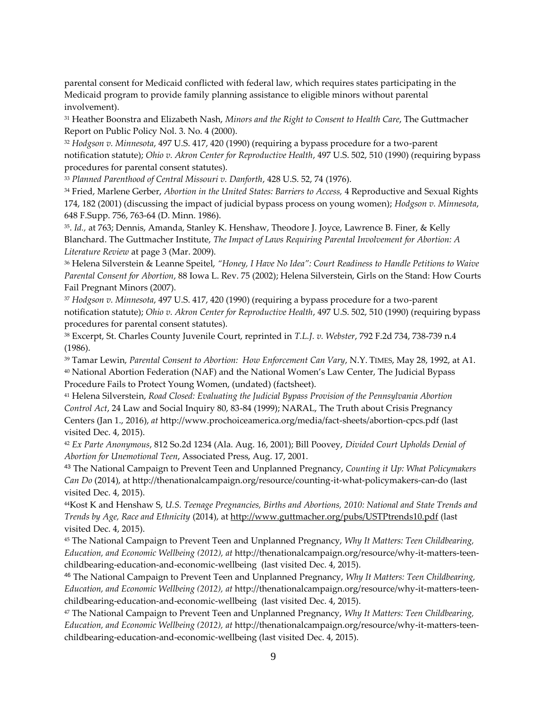parental consent for Medicaid conflicted with federal law, which requires states participating in the Medicaid program to provide family planning assistance to eligible minors without parental involvement).

<sup>31</sup> Heather Boonstra and Elizabeth Nash, *Minors and the Right to Consent to Health Care*, The Guttmacher Report on Public Policy Nol. 3. No. 4 (2000).

<sup>32</sup> *Hodgson v. Minnesota*, 497 U.S. 417, 420 (1990) (requiring a bypass procedure for a two-parent notification statute); *Ohio v. Akron Center for Reproductive Health*, 497 U.S. 502, 510 (1990) (requiring bypass procedures for parental consent statutes).

<sup>33</sup> *Planned Parenthood of Central Missouri v. Danforth*, 428 U.S. 52, 74 (1976).

<sup>34</sup> Fried, Marlene Gerber, *Abortion in the United States: Barriers to Access,* 4 Reproductive and Sexual Rights 174, 182 (2001) (discussing the impact of judicial bypass process on young women); *Hodgson v. Minnesota*, 648 F.Supp. 756, 763-64 (D. Minn. 1986).

35 . *Id.,* at 763; Dennis, Amanda, Stanley K. Henshaw, Theodore J. Joyce, Lawrence B. Finer, & Kelly Blanchard. The Guttmacher Institute, *The Impact of Laws Requiring Parental Involvement for Abortion: A Literature Review* at page 3 (Mar. 2009).

<sup>36</sup> Helena Silverstein & Leanne Speitel, *"Honey, I Have No Idea": Court Readiness to Handle Petitions to Waive Parental Consent for Abortion*, 88 Iowa L. Rev. 75 (2002); Helena Silverstein, Girls on the Stand: How Courts Fail Pregnant Minors (2007).

<sup>37</sup> *Hodgson v. Minnesota*, 497 U.S. 417, 420 (1990) (requiring a bypass procedure for a two-parent notification statute); *Ohio v. Akron Center for Reproductive Health*, 497 U.S. 502, 510 (1990) (requiring bypass procedures for parental consent statutes).

<sup>38</sup> Excerpt, St. Charles County Juvenile Court, reprinted in *T.L.J. v. Webster*, 792 F.2d 734, 738-739 n.4 (1986).

<sup>39</sup> Tamar Lewin, *Parental Consent to Abortion: How Enforcement Can Vary*, N.Y. TIMES, May 28, 1992, at A1. <sup>40</sup> National Abortion Federation (NAF) and the National Women's Law Center, The Judicial Bypass Procedure Fails to Protect Young Women, (undated) (factsheet).

<sup>41</sup> Helena Silverstein, *Road Closed: Evaluating the Judicial Bypass Provision of the Pennsylvania Abortion Control Act*, 24 Law and Social Inquiry 80, 83-84 (1999); NARAL, The Truth about Crisis Pregnancy Centers (Jan 1., 2016), *at* http://www.prochoiceamerica.org/media/fact-sheets/abortion-cpcs.pdf (last visited Dec. 4, 2015).

<sup>42</sup> *Ex Parte Anonymous*, 812 So.2d 1234 (Ala. Aug. 16, 2001); Bill Poovey, *Divided Court Upholds Denial of Abortion for Unemotional Teen*, Associated Press, Aug. 17, 2001.

<sup>43</sup> The National Campaign to Prevent Teen and Unplanned Pregnancy, *Counting it Up: What Policymakers Can Do* (2014), at http://thenationalcampaign.org/resource/counting-it-what-policymakers-can-do (last visited Dec. 4, 2015).

<sup>44</sup>Kost K and Henshaw S, *U.S. Teenage Pregnancies, Births and Abortions, 2010: National and State Trends and Trends by Age, Race and Ethnicity* (2014), at<http://www.guttmacher.org/pubs/USTPtrends10.pdf> (last visited Dec. 4, 2015).

<sup>45</sup> The National Campaign to Prevent Teen and Unplanned Pregnancy, *Why It Matters: Teen Childbearing, Education, and Economic Wellbeing (2012), at* http://thenationalcampaign.org/resource/why-it-matters-teenchildbearing-education-and-economic-wellbeing (last visited Dec. 4, 2015).

<sup>46</sup> The National Campaign to Prevent Teen and Unplanned Pregnancy, *Why It Matters: Teen Childbearing, Education, and Economic Wellbeing (2012), at* http://thenationalcampaign.org/resource/why-it-matters-teenchildbearing-education-and-economic-wellbeing (last visited Dec. 4, 2015).

<sup>47</sup> The National Campaign to Prevent Teen and Unplanned Pregnancy, *Why It Matters: Teen Childbearing, Education, and Economic Wellbeing (2012), at* http://thenationalcampaign.org/resource/why-it-matters-teenchildbearing-education-and-economic-wellbeing (last visited Dec. 4, 2015).